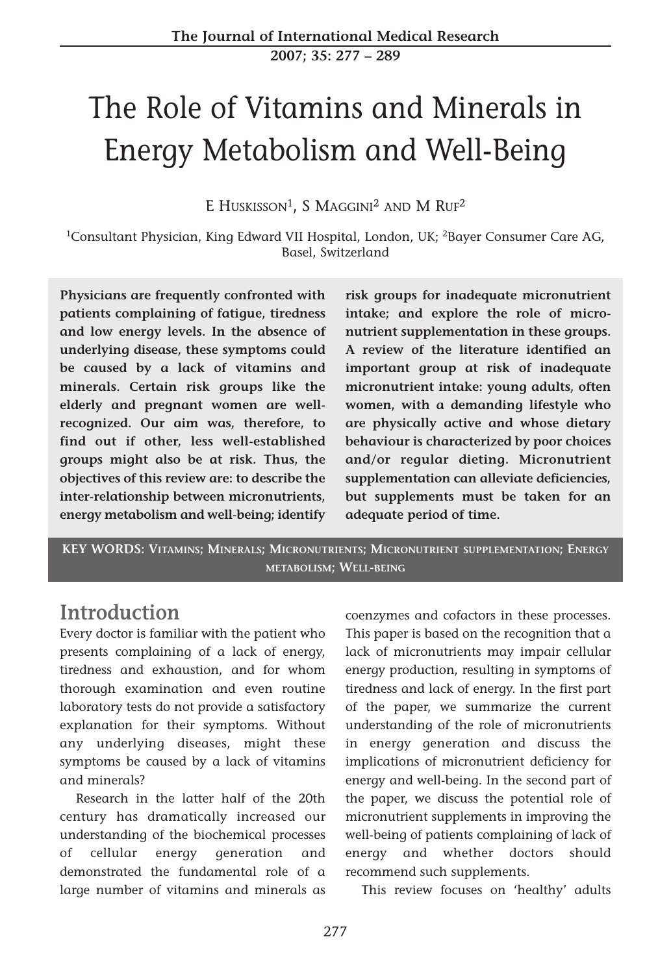**2007; 35: 277 – 289**

# The Role of Vitamins and Minerals in Energy Metabolism and Well-Being

E HUSKISSON<sup>1</sup>, S MAGGINI<sup>2</sup> AND M RUF<sup>2</sup>

<sup>1</sup>Consultant Physician, King Edward VII Hospital, London, UK; <sup>2</sup>Bayer Consumer Care AG, Basel, Switzerland

**Physicians are frequently confronted with patients complaining of fatigue, tiredness and low energy levels. In the absence of underlying disease, these symptoms could be caused by a lack of vitamins and minerals. Certain risk groups like the elderly and pregnant women are wellrecognized. Our aim was, therefore, to find out if other, less well-established groups might also be at risk. Thus, the objectives of this review are: to describe the inter-relationship between micronutrients, energy metabolism and well-being; identify**

**risk groups for inadequate micronutrient intake; and explore the role of micronutrient supplementation in these groups. A review of the literature identified an important group at risk of inadequate micronutrient intake: young adults, often women, with a demanding lifestyle who are physically active and whose dietary behaviour is characterized by poor choices and/or regular dieting. Micronutrient supplementation can alleviate deficiencies, but supplements must be taken for an adequate period of time.**

**KEY WORDS: VITAMINS; MINERALS; MICRONUTRIENTS; MICRONUTRIENT SUPPLEMENTATION; ENERGY METABOLISM; WELL-BEING**

#### **Introduction**

Every doctor is familiar with the patient who presents complaining of a lack of energy, tiredness and exhaustion, and for whom thorough examination and even routine laboratory tests do not provide a satisfactory explanation for their symptoms. Without any underlying diseases, might these symptoms be caused by a lack of vitamins and minerals?

Research in the latter half of the 20th century has dramatically increased our understanding of the biochemical processes of cellular energy generation and demonstrated the fundamental role of a large number of vitamins and minerals as coenzymes and cofactors in these processes. This paper is based on the recognition that a lack of micronutrients may impair cellular energy production, resulting in symptoms of tiredness and lack of energy. In the first part of the paper, we summarize the current understanding of the role of micronutrients in energy generation and discuss the implications of micronutrient deficiency for energy and well-being. In the second part of the paper, we discuss the potential role of micronutrient supplements in improving the well-being of patients complaining of lack of energy and whether doctors should recommend such supplements.

This review focuses on 'healthy' adults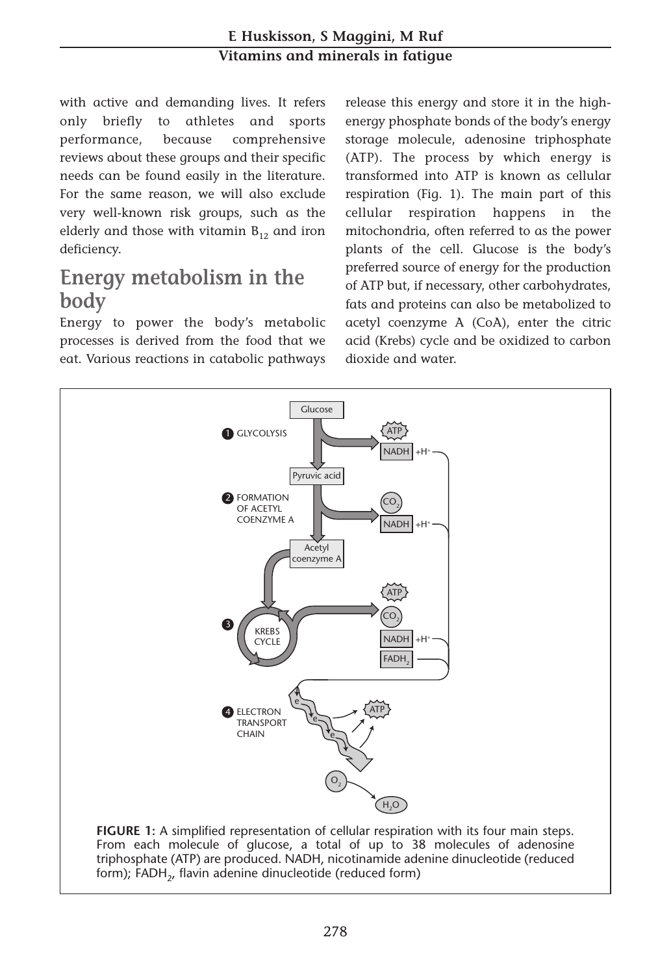#### **E Huskisson, S Maggini, M Ruf Vitamins and minerals in fatigue**

with active and demanding lives. It refers only briefly to athletes and sports performance, because comprehensive reviews about these groups and their specific needs can be found easily in the literature. For the same reason, we will also exclude very well-known risk groups, such as the elderly and those with vitamin  $B_{12}$  and iron deficiency.

## **Energy metabolism in the body**

Energy to power the body's metabolic processes is derived from the food that we eat. Various reactions in catabolic pathways release this energy and store it in the highenergy phosphate bonds of the body's energy storage molecule, adenosine triphosphate (ATP). The process by which energy is transformed into ATP is known as cellular respiration (Fig. 1). The main part of this cellular respiration happens in the mitochondria, often referred to as the power plants of the cell. Glucose is the body's preferred source of energy for the production of ATP but, if necessary, other carbohydrates, fats and proteins can also be metabolized to acetyl coenzyme A (CoA), enter the citric acid (Krebs) cycle and be oxidized to carbon dioxide and water.



From each molecule of glucose, a total of up to 38 molecules of adenosine triphosphate (ATP) are produced. NADH, nicotinamide adenine dinucleotide (reduced form); FADH<sub>2</sub>, flavin adenine dinucleotide (reduced form)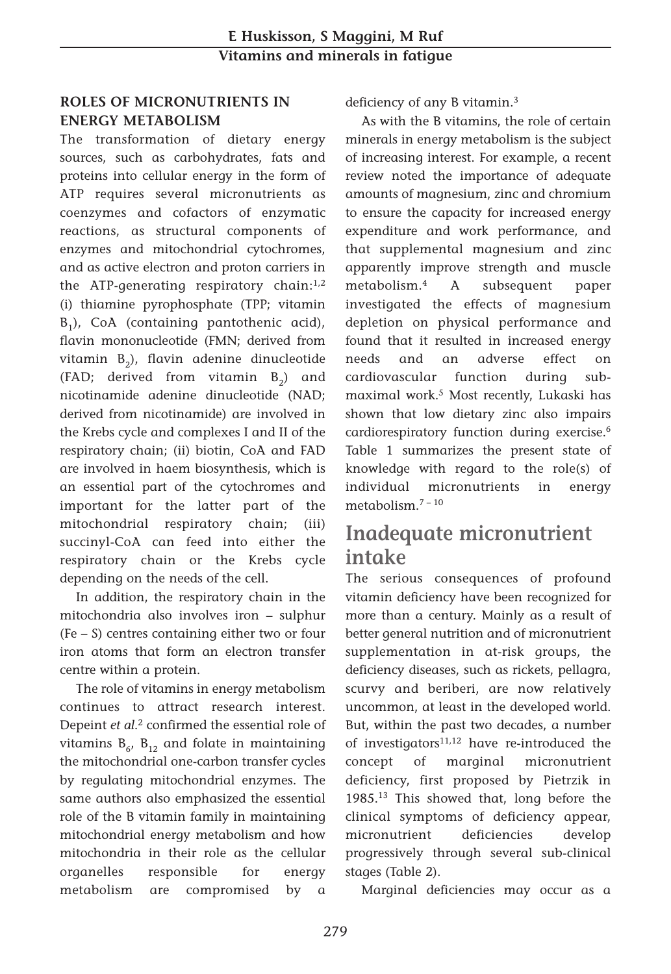#### **ROLES OF MICRONUTRIENTS IN ENERGY METABOLISM**

The transformation of dietary energy sources, such as carbohydrates, fats and proteins into cellular energy in the form of ATP requires several micronutrients as coenzymes and cofactors of enzymatic reactions, as structural components of enzymes and mitochondrial cytochromes, and as active electron and proton carriers in the ATP-generating respiratory chain: $1,2$ (i) thiamine pyrophosphate (TPP; vitamin  $B_1$ ), CoA (containing pantothenic acid), flavin mononucleotide (FMN; derived from vitamin  $B_2$ ), flavin adenine dinucleotide (FAD; derived from vitamin  $B_2$ ) and nicotinamide adenine dinucleotide (NAD; derived from nicotinamide) are involved in the Krebs cycle and complexes I and II of the respiratory chain; (ii) biotin, CoA and FAD are involved in haem biosynthesis, which is an essential part of the cytochromes and important for the latter part of the mitochondrial respiratory chain; (iii) succinyl-CoA can feed into either the respiratory chain or the Krebs cycle depending on the needs of the cell.

In addition, the respiratory chain in the mitochondria also involves iron – sulphur (Fe – S) centres containing either two or four iron atoms that form an electron transfer centre within a protein.

The role of vitamins in energy metabolism continues to attract research interest. Depeint *et al*. <sup>2</sup> confirmed the essential role of vitamins  $B_{6}$ ,  $B_{12}$  and folate in maintaining the mitochondrial one-carbon transfer cycles by regulating mitochondrial enzymes. The same authors also emphasized the essential role of the B vitamin family in maintaining mitochondrial energy metabolism and how mitochondria in their role as the cellular organelles responsible for energy metabolism are compromised by a deficiency of any B vitamin.3

As with the B vitamins, the role of certain minerals in energy metabolism is the subject of increasing interest. For example, a recent review noted the importance of adequate amounts of magnesium, zinc and chromium to ensure the capacity for increased energy expenditure and work performance, and that supplemental magnesium and zinc apparently improve strength and muscle metabolism.4 A subsequent paper investigated the effects of magnesium depletion on physical performance and found that it resulted in increased energy needs and an adverse effect on cardiovascular function during submaximal work.5 Most recently, Lukaski has shown that low dietary zinc also impairs cardiorespiratory function during exercise.<sup>6</sup> Table 1 summarizes the present state of knowledge with regard to the role(s) of individual micronutrients in energy metabolism.7 – <sup>10</sup>

## **Inadequate micronutrient intake**

The serious consequences of profound vitamin deficiency have been recognized for more than a century. Mainly as a result of better general nutrition and of micronutrient supplementation in at-risk groups, the deficiency diseases, such as rickets, pellagra, scurvy and beriberi, are now relatively uncommon, at least in the developed world. But, within the past two decades, a number of investigators $11,12$  have re-introduced the concept of marginal micronutrient deficiency, first proposed by Pietrzik in 1985.13 This showed that, long before the clinical symptoms of deficiency appear, micronutrient deficiencies develop progressively through several sub-clinical stages (Table 2).

Marginal deficiencies may occur as a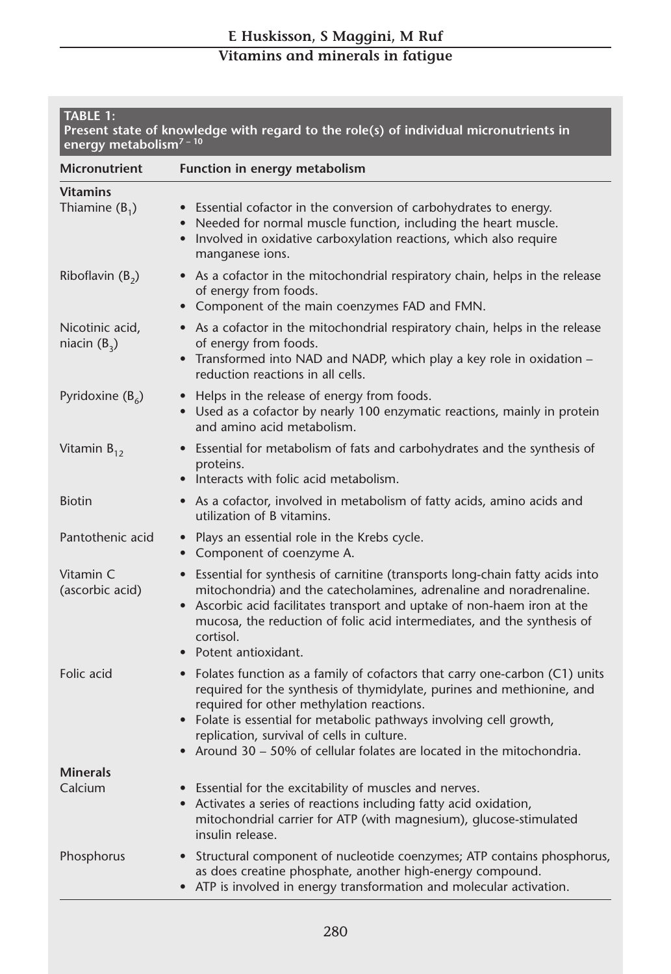| <b>TABLE 1:</b><br>Present state of knowledge with regard to the role(s) of individual micronutrients in<br>energy metabolism7-10 |                                                                                                                                                                                                                                                                                                                                                                                                           |  |
|-----------------------------------------------------------------------------------------------------------------------------------|-----------------------------------------------------------------------------------------------------------------------------------------------------------------------------------------------------------------------------------------------------------------------------------------------------------------------------------------------------------------------------------------------------------|--|
| <b>Micronutrient</b>                                                                                                              | Function in energy metabolism                                                                                                                                                                                                                                                                                                                                                                             |  |
| <b>Vitamins</b><br>Thiamine $(B_1)$                                                                                               | • Essential cofactor in the conversion of carbohydrates to energy.<br>Needed for normal muscle function, including the heart muscle.<br>Involved in oxidative carboxylation reactions, which also require<br>manganese ions.                                                                                                                                                                              |  |
| Riboflavin $(B_2)$                                                                                                                | • As a cofactor in the mitochondrial respiratory chain, helps in the release<br>of energy from foods.<br>Component of the main coenzymes FAD and FMN.                                                                                                                                                                                                                                                     |  |
| Nicotinic acid,<br>niacin $(B_3)$                                                                                                 | • As a cofactor in the mitochondrial respiratory chain, helps in the release<br>of energy from foods.<br>• Transformed into NAD and NADP, which play a key role in oxidation -<br>reduction reactions in all cells.                                                                                                                                                                                       |  |
| Pyridoxine $(B_6)$                                                                                                                | Helps in the release of energy from foods.<br>$\bullet$<br>• Used as a cofactor by nearly 100 enzymatic reactions, mainly in protein<br>and amino acid metabolism.                                                                                                                                                                                                                                        |  |
| Vitamin $B_{12}$                                                                                                                  | • Essential for metabolism of fats and carbohydrates and the synthesis of<br>proteins.<br>Interacts with folic acid metabolism.                                                                                                                                                                                                                                                                           |  |
| <b>Biotin</b>                                                                                                                     | • As a cofactor, involved in metabolism of fatty acids, amino acids and<br>utilization of B vitamins.                                                                                                                                                                                                                                                                                                     |  |
| Pantothenic acid                                                                                                                  | Plays an essential role in the Krebs cycle.<br>$\bullet$<br>Component of coenzyme A.                                                                                                                                                                                                                                                                                                                      |  |
| Vitamin C<br>(ascorbic acid)                                                                                                      | Essential for synthesis of carnitine (transports long-chain fatty acids into<br>mitochondria) and the catecholamines, adrenaline and noradrenaline.<br>Ascorbic acid facilitates transport and uptake of non-haem iron at the<br>mucosa, the reduction of folic acid intermediates, and the synthesis of<br>cortisol.<br>Potent antioxidant.                                                              |  |
| Folic acid                                                                                                                        | Folates function as a family of cofactors that carry one-carbon (C1) units<br>$\bullet$<br>required for the synthesis of thymidylate, purines and methionine, and<br>required for other methylation reactions.<br>Folate is essential for metabolic pathways involving cell growth,<br>replication, survival of cells in culture.<br>Around 30 – 50% of cellular folates are located in the mitochondria. |  |
| <b>Minerals</b><br>Calcium                                                                                                        | • Essential for the excitability of muscles and nerves.                                                                                                                                                                                                                                                                                                                                                   |  |
|                                                                                                                                   | • Activates a series of reactions including fatty acid oxidation,<br>mitochondrial carrier for ATP (with magnesium), glucose-stimulated<br>insulin release.                                                                                                                                                                                                                                               |  |
| Phosphorus                                                                                                                        | • Structural component of nucleotide coenzymes; ATP contains phosphorus,<br>as does creatine phosphate, another high-energy compound.<br>• ATP is involved in energy transformation and molecular activation.                                                                                                                                                                                             |  |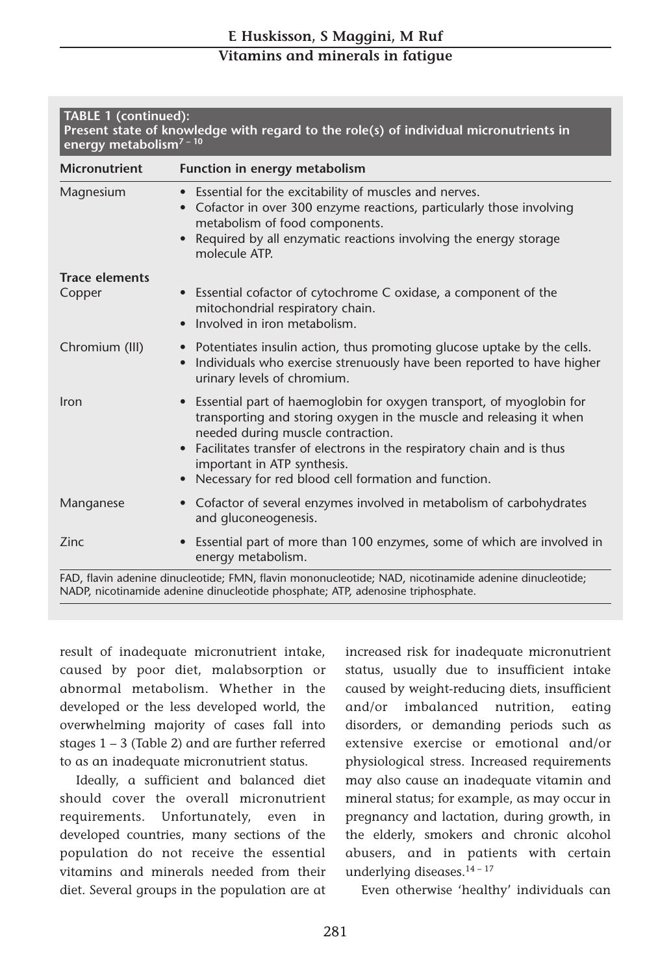| <b>Micronutrient</b>  | Function in energy metabolism                                                                                                                                                                                                                                                                                                                                    |  |
|-----------------------|------------------------------------------------------------------------------------------------------------------------------------------------------------------------------------------------------------------------------------------------------------------------------------------------------------------------------------------------------------------|--|
| Magnesium             | • Essential for the excitability of muscles and nerves.<br>Cofactor in over 300 enzyme reactions, particularly those involving<br>metabolism of food components.<br>Required by all enzymatic reactions involving the energy storage<br>molecule ATP.                                                                                                            |  |
| <b>Trace elements</b> |                                                                                                                                                                                                                                                                                                                                                                  |  |
| Copper                | • Essential cofactor of cytochrome C oxidase, a component of the<br>mitochondrial respiratory chain.<br>Involved in iron metabolism.                                                                                                                                                                                                                             |  |
| Chromium (III)        | • Potentiates insulin action, thus promoting glucose uptake by the cells.<br>Individuals who exercise strenuously have been reported to have higher<br>urinary levels of chromium.                                                                                                                                                                               |  |
| Iron                  | • Essential part of haemoglobin for oxygen transport, of myoglobin for<br>transporting and storing oxygen in the muscle and releasing it when<br>needed during muscle contraction.<br>Facilitates transfer of electrons in the respiratory chain and is thus<br>important in ATP synthesis.<br>Necessary for red blood cell formation and function.<br>$\bullet$ |  |
| Manganese             | Cofactor of several enzymes involved in metabolism of carbohydrates<br>$\bullet$<br>and gluconeogenesis.                                                                                                                                                                                                                                                         |  |
| Zinc                  | Essential part of more than 100 enzymes, some of which are involved in<br>$\bullet$<br>energy metabolism.                                                                                                                                                                                                                                                        |  |

result of inadequate micronutrient intake, caused by poor diet, malabsorption or abnormal metabolism. Whether in the developed or the less developed world, the overwhelming majority of cases fall into stages 1 – 3 (Table 2) and are further referred to as an inadequate micronutrient status.

Ideally, a sufficient and balanced diet should cover the overall micronutrient requirements. Unfortunately, even in developed countries, many sections of the population do not receive the essential vitamins and minerals needed from their diet. Several groups in the population are at increased risk for inadequate micronutrient status, usually due to insufficient intake caused by weight-reducing diets, insufficient and/or imbalanced nutrition, eating disorders, or demanding periods such as extensive exercise or emotional and/or physiological stress. Increased requirements may also cause an inadequate vitamin and mineral status; for example, as may occur in pregnancy and lactation, during growth, in the elderly, smokers and chronic alcohol abusers, and in patients with certain underlying diseases.<sup>14-17</sup>

Even otherwise 'healthy' individuals can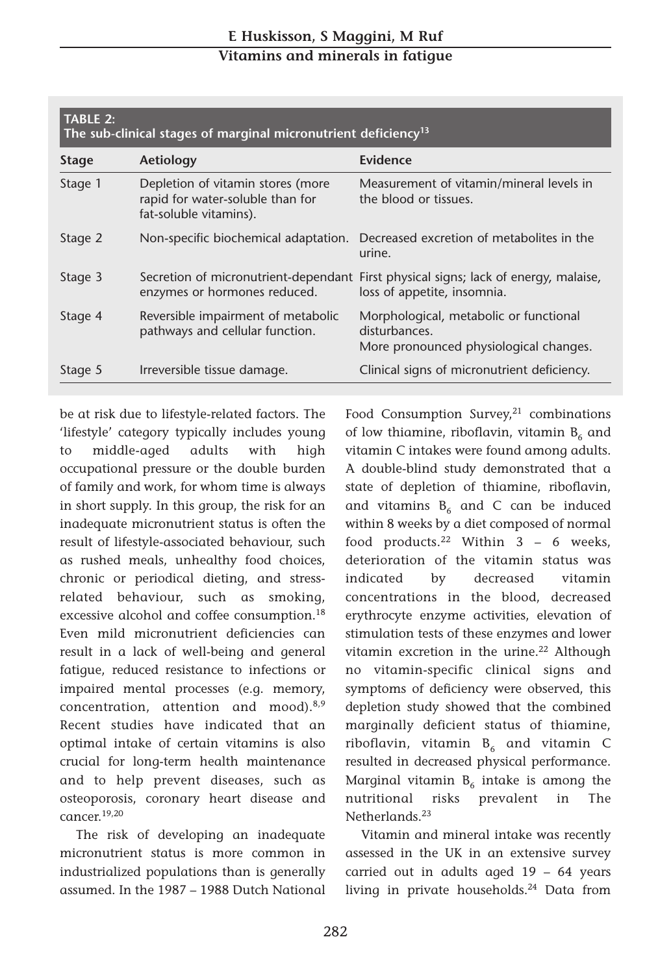| TABLE 2:<br>The sub-clinical stages of marginal micronutrient deficiency <sup>13</sup> |                                                                                                 |                                                                                                   |  |  |  |
|----------------------------------------------------------------------------------------|-------------------------------------------------------------------------------------------------|---------------------------------------------------------------------------------------------------|--|--|--|
| <b>Stage</b>                                                                           | Aetiology                                                                                       | Evidence                                                                                          |  |  |  |
| Stage 1                                                                                | Depletion of vitamin stores (more<br>rapid for water-soluble than for<br>fat-soluble vitamins). | Measurement of vitamin/mineral levels in<br>the blood or tissues.                                 |  |  |  |
| Stage 2                                                                                |                                                                                                 | Non-specific biochemical adaptation. Decreased excretion of metabolites in the<br>urine.          |  |  |  |
| Stage 3                                                                                | Secretion of micronutrient-dependant<br>enzymes or hormones reduced.                            | First physical signs; lack of energy, malaise,<br>loss of appetite, insomnia.                     |  |  |  |
| Stage 4                                                                                | Reversible impairment of metabolic<br>pathways and cellular function.                           | Morphological, metabolic or functional<br>disturbances.<br>More pronounced physiological changes. |  |  |  |
| Stage 5                                                                                | Irreversible tissue damage.                                                                     | Clinical signs of micronutrient deficiency.                                                       |  |  |  |

be at risk due to lifestyle-related factors. The 'lifestyle' category typically includes young to middle-aged adults with high occupational pressure or the double burden of family and work, for whom time is always in short supply. In this group, the risk for an inadequate micronutrient status is often the result of lifestyle-associated behaviour, such as rushed meals, unhealthy food choices, chronic or periodical dieting, and stressrelated behaviour, such as smoking, excessive alcohol and coffee consumption.<sup>18</sup> Even mild micronutrient deficiencies can result in a lack of well-being and general fatigue, reduced resistance to infections or impaired mental processes (e.g. memory, concentration, attention and mood). $8,9$ Recent studies have indicated that an optimal intake of certain vitamins is also crucial for long-term health maintenance and to help prevent diseases, such as osteoporosis, coronary heart disease and cancer. 19,20

The risk of developing an inadequate micronutrient status is more common in industrialized populations than is generally assumed. In the 1987 – 1988 Dutch National Food Consumption Survey, $21$  combinations of low thiamine, riboflavin, vitamin  $B_6$  and vitamin C intakes were found among adults. A double-blind study demonstrated that a state of depletion of thiamine, riboflavin, and vitamins  $B_6$  and C can be induced within 8 weeks by a diet composed of normal food products.22 Within 3 – 6 weeks, deterioration of the vitamin status was indicated by decreased vitamin concentrations in the blood, decreased erythrocyte enzyme activities, elevation of stimulation tests of these enzymes and lower vitamin excretion in the urine.<sup>22</sup> Although no vitamin-specific clinical signs and symptoms of deficiency were observed, this depletion study showed that the combined marginally deficient status of thiamine, riboflavin, vitamin  $B_6$  and vitamin C resulted in decreased physical performance. Marginal vitamin  $B_6$  intake is among the nutritional risks prevalent in The Netherlands.<sup>23</sup>

Vitamin and mineral intake was recently assessed in the UK in an extensive survey carried out in adults aged 19 – 64 years living in private households.<sup>24</sup> Data from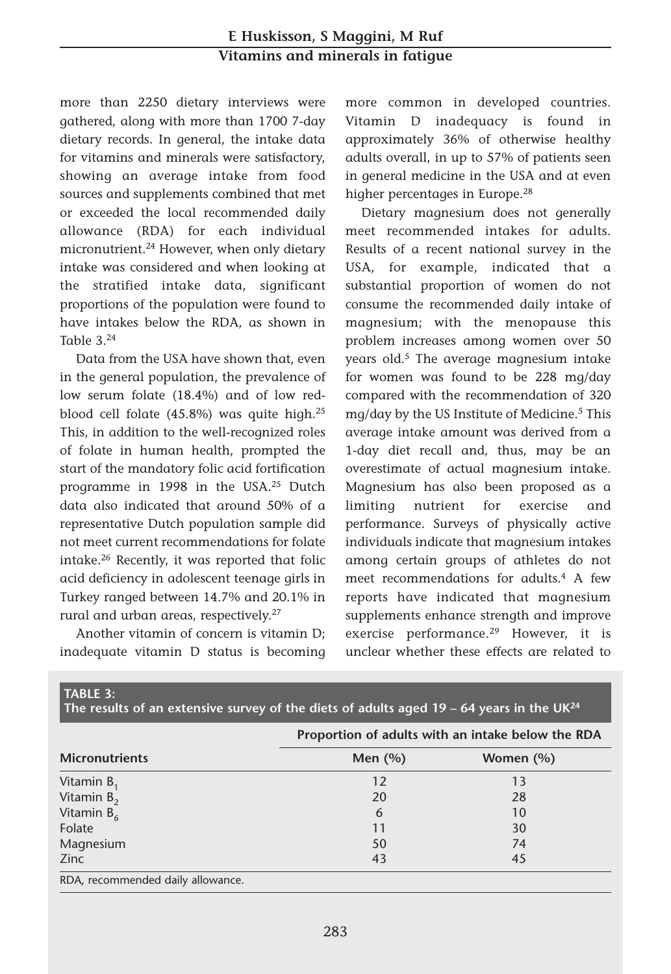#### **E Huskisson, S Maggini, M Ruf Vitamins and minerals in fatigue**

more than 2250 dietary interviews were gathered, along with more than 1700 7-day dietary records. In general, the intake data for vitamins and minerals were satisfactory, showing an average intake from food sources and supplements combined that met or exceeded the local recommended daily allowance (RDA) for each individual micronutrient.24 However, when only dietary intake was considered and when looking at the stratified intake data, significant proportions of the population were found to have intakes below the RDA, as shown in Table  $3^{24}$ 

Data from the USA have shown that, even in the general population, the prevalence of low serum folate (18.4%) and of low redblood cell folate (45.8%) was quite high.25 This, in addition to the well-recognized roles of folate in human health, prompted the start of the mandatory folic acid fortification programme in 1998 in the USA.25 Dutch data also indicated that around 50% of a representative Dutch population sample did not meet current recommendations for folate intake.26 Recently, it was reported that folic acid deficiency in adolescent teenage girls in Turkey ranged between 14.7% and 20.1% in rural and urban areas, respectively. 27

Another vitamin of concern is vitamin D; inadequate vitamin D status is becoming more common in developed countries. Vitamin D inadequacy is found in approximately 36% of otherwise healthy adults overall, in up to 57% of patients seen in general medicine in the USA and at even higher percentages in Europe.<sup>28</sup>

Dietary magnesium does not generally meet recommended intakes for adults. Results of a recent national survey in the USA, for example, indicated that a substantial proportion of women do not consume the recommended daily intake of magnesium; with the menopause this problem increases among women over 50 years old.<sup>5</sup> The average magnesium intake for women was found to be 228 mg/day compared with the recommendation of 320 mg/day by the US Institute of Medicine.<sup>5</sup> This average intake amount was derived from a 1-day diet recall and, thus, may be an overestimate of actual magnesium intake. Magnesium has also been proposed as a limiting nutrient for exercise and performance. Surveys of physically active individuals indicate that magnesium intakes among certain groups of athletes do not meet recommendations for adults.4 A few reports have indicated that magnesium supplements enhance strength and improve exercise performance.29 However, it is unclear whether these effects are related to

|                       | Proportion of adults with an intake below the RDA |           |  |
|-----------------------|---------------------------------------------------|-----------|--|
| <b>Micronutrients</b> | Men $(%)$                                         | Women (%) |  |
| Vitamin $B_1$         | 12                                                | 13        |  |
| Vitamin $B_2$         | 20                                                | 28        |  |
| Vitamin $B_6$         | 6                                                 | 10        |  |
| Folate                | 11                                                | 30        |  |
| Magnesium             | 50                                                | 74        |  |
| Zinc.                 | 43                                                | 45        |  |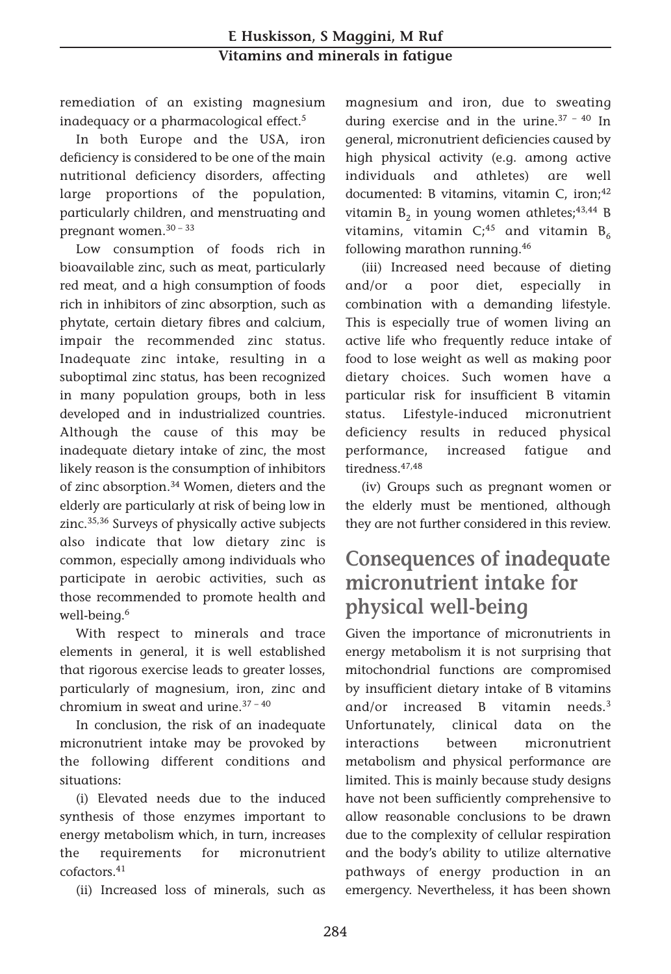remediation of an existing magnesium inadequacy or a pharmacological effect.5

In both Europe and the USA, iron deficiency is considered to be one of the main nutritional deficiency disorders, affecting large proportions of the population, particularly children, and menstruating and pregnant women.30 – 33

Low consumption of foods rich in bioavailable zinc, such as meat, particularly red meat, and a high consumption of foods rich in inhibitors of zinc absorption, such as phytate, certain dietary fibres and calcium, impair the recommended zinc status. Inadequate zinc intake, resulting in a suboptimal zinc status, has been recognized in many population groups, both in less developed and in industrialized countries. Although the cause of this may be inadequate dietary intake of zinc, the most likely reason is the consumption of inhibitors of zinc absorption.34 Women, dieters and the elderly are particularly at risk of being low in zinc.35,36 Surveys of physically active subjects also indicate that low dietary zinc is common, especially among individuals who participate in aerobic activities, such as those recommended to promote health and well-being.<sup>6</sup>

With respect to minerals and trace elements in general, it is well established that rigorous exercise leads to greater losses, particularly of magnesium, iron, zinc and chromium in sweat and urine. $37 - 40$ 

In conclusion, the risk of an inadequate micronutrient intake may be provoked by the following different conditions and situations:

(i) Elevated needs due to the induced synthesis of those enzymes important to energy metabolism which, in turn, increases the requirements for micronutrient cofactors.41

(ii) Increased loss of minerals, such as

magnesium and iron, due to sweating during exercise and in the urine.37 – 40 In general, micronutrient deficiencies caused by high physical activity (e.g. among active individuals and athletes) are well documented: B vitamins, vitamin C, iron;<sup>42</sup> vitamin  $B_2$  in young women athletes;<sup>43,44</sup> B vitamins, vitamin  $C<sub>i</sub><sup>45</sup>$  and vitamin  $B<sub>6</sub>$ following marathon running.46

(iii) Increased need because of dieting and/or a poor diet, especially in combination with a demanding lifestyle. This is especially true of women living an active life who frequently reduce intake of food to lose weight as well as making poor dietary choices. Such women have a particular risk for insufficient B vitamin status. Lifestyle-induced micronutrient deficiency results in reduced physical performance, increased fatigue and tiredness<sup>47,48</sup>

(iv) Groups such as pregnant women or the elderly must be mentioned, although they are not further considered in this review.

## **Consequences of inadequate micronutrient intake for physical well-being**

Given the importance of micronutrients in energy metabolism it is not surprising that mitochondrial functions are compromised by insufficient dietary intake of B vitamins and/or increased B vitamin needs.3 Unfortunately, clinical data on the interactions between micronutrient metabolism and physical performance are limited. This is mainly because study designs have not been sufficiently comprehensive to allow reasonable conclusions to be drawn due to the complexity of cellular respiration and the body's ability to utilize alternative pathways of energy production in an emergency. Nevertheless, it has been shown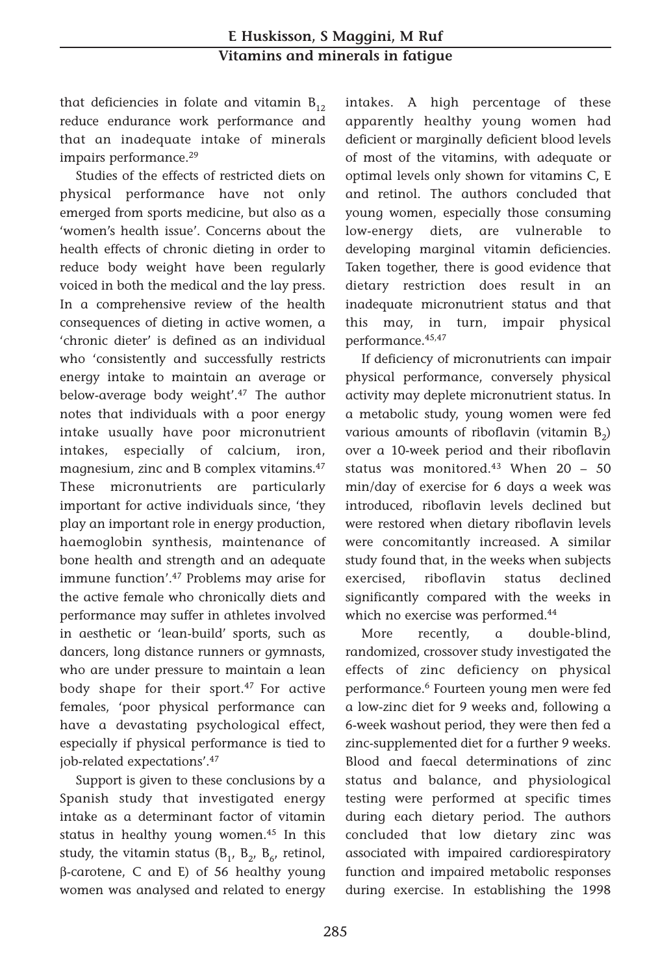that deficiencies in folate and vitamin  $B_{12}$ reduce endurance work performance and that an inadequate intake of minerals impairs performance.<sup>29</sup>

Studies of the effects of restricted diets on physical performance have not only emerged from sports medicine, but also as a 'women's health issue'. Concerns about the health effects of chronic dieting in order to reduce body weight have been regularly voiced in both the medical and the lay press. In a comprehensive review of the health consequences of dieting in active women, a 'chronic dieter' is defined as an individual who 'consistently and successfully restricts energy intake to maintain an average or below-average body weight'.<sup>47</sup> The author notes that individuals with a poor energy intake usually have poor micronutrient intakes, especially of calcium, iron, magnesium, zinc and B complex vitamins.47 These micronutrients are particularly important for active individuals since, 'they play an important role in energy production, haemoglobin synthesis, maintenance of bone health and strength and an adequate immune function'.47 Problems may arise for the active female who chronically diets and performance may suffer in athletes involved in aesthetic or 'lean-build' sports, such as dancers, long distance runners or gymnasts, who are under pressure to maintain a lean body shape for their sport.<sup>47</sup> For active females, 'poor physical performance can have a devastating psychological effect, especially if physical performance is tied to job-related expectations'.47

Support is given to these conclusions by a Spanish study that investigated energy intake as a determinant factor of vitamin status in healthy young women.<sup>45</sup> In this study, the vitamin status  $(B_1, B_2, B_6,$  retinol, β-carotene, C and E) of 56 healthy young women was analysed and related to energy intakes. A high percentage of these apparently healthy young women had deficient or marginally deficient blood levels of most of the vitamins, with adequate or optimal levels only shown for vitamins C, E and retinol. The authors concluded that young women, especially those consuming low-energy diets, are vulnerable to developing marginal vitamin deficiencies. Taken together, there is good evidence that dietary restriction does result in an inadequate micronutrient status and that this may, in turn, impair physical performance.45,47

If deficiency of micronutrients can impair physical performance, conversely physical activity may deplete micronutrient status. In a metabolic study, young women were fed various amounts of riboflavin (vitamin  $B_2$ ) over a 10-week period and their riboflavin status was monitored.43 When 20 – 50 min/day of exercise for 6 days a week was introduced, riboflavin levels declined but were restored when dietary riboflavin levels were concomitantly increased. A similar study found that, in the weeks when subjects exercised, riboflavin status declined significantly compared with the weeks in which no exercise was performed.44

More recently, a double-blind, randomized, crossover study investigated the effects of zinc deficiency on physical performance.6 Fourteen young men were fed a low-zinc diet for 9 weeks and, following a 6-week washout period, they were then fed a zinc-supplemented diet for a further 9 weeks. Blood and faecal determinations of zinc status and balance, and physiological testing were performed at specific times during each dietary period. The authors concluded that low dietary zinc was associated with impaired cardiorespiratory function and impaired metabolic responses during exercise. In establishing the 1998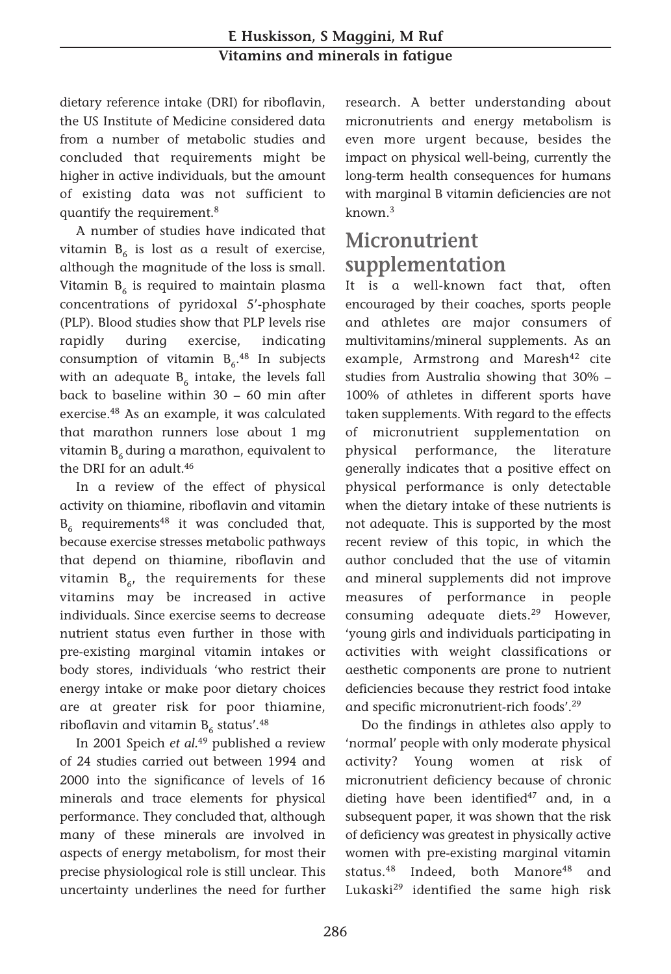dietary reference intake (DRI) for riboflavin, the US Institute of Medicine considered data from a number of metabolic studies and concluded that requirements might be higher in active individuals, but the amount of existing data was not sufficient to quantify the requirement.<sup>8</sup>

A number of studies have indicated that vitamin  $B_6$  is lost as a result of exercise, although the magnitude of the loss is small. Vitamin  $B_6$  is required to maintain plasma concentrations of pyridoxal 5'-phosphate (PLP). Blood studies show that PLP levels rise rapidly during exercise, indicating consumption of vitamin  $B_6$ .<sup>48</sup> In subjects with an adequate  $B_6$  intake, the levels fall back to baseline within 30 – 60 min after exercise.48 As an example, it was calculated that marathon runners lose about 1 mg vitamin  $B_6$  during a marathon, equivalent to the DRI for an adult.<sup>46</sup>

In a review of the effect of physical activity on thiamine, riboflavin and vitamin  $B_6$  requirements<sup>48</sup> it was concluded that, because exercise stresses metabolic pathways that depend on thiamine, riboflavin and vitamin  $B_{6}$ , the requirements for these vitamins may be increased in active individuals. Since exercise seems to decrease nutrient status even further in those with pre-existing marginal vitamin intakes or body stores, individuals 'who restrict their energy intake or make poor dietary choices are at greater risk for poor thiamine, riboflavin and vitamin  $B_6$  status'.<sup>48</sup>

In 2001 Speich *et al.*<sup>49</sup> published a review of 24 studies carried out between 1994 and 2000 into the significance of levels of 16 minerals and trace elements for physical performance. They concluded that, although many of these minerals are involved in aspects of energy metabolism, for most their precise physiological role is still unclear. This uncertainty underlines the need for further research. A better understanding about micronutrients and energy metabolism is even more urgent because, besides the impact on physical well-being, currently the long-term health consequences for humans with marginal B vitamin deficiencies are not known.3

## **Micronutrient supplementation**

It is a well-known fact that, often encouraged by their coaches, sports people and athletes are major consumers of multivitamins/mineral supplements. As an example, Armstrong and Maresh<sup>42</sup> cite studies from Australia showing that 30% – 100% of athletes in different sports have taken supplements. With regard to the effects of micronutrient supplementation on physical performance, the literature generally indicates that a positive effect on physical performance is only detectable when the dietary intake of these nutrients is not adequate. This is supported by the most recent review of this topic, in which the author concluded that the use of vitamin and mineral supplements did not improve measures of performance in people consuming adequate diets.29 However, 'young girls and individuals participating in activities with weight classifications or aesthetic components are prone to nutrient deficiencies because they restrict food intake and specific micronutrient-rich foods'.29

Do the findings in athletes also apply to 'normal' people with only moderate physical activity? Young women at risk of micronutrient deficiency because of chronic dieting have been identified<sup>47</sup> and, in a subsequent paper, it was shown that the risk of deficiency was greatest in physically active women with pre-existing marginal vitamin status.<sup>48</sup> Indeed, both Manore<sup>48</sup> and Lukaski29 identified the same high risk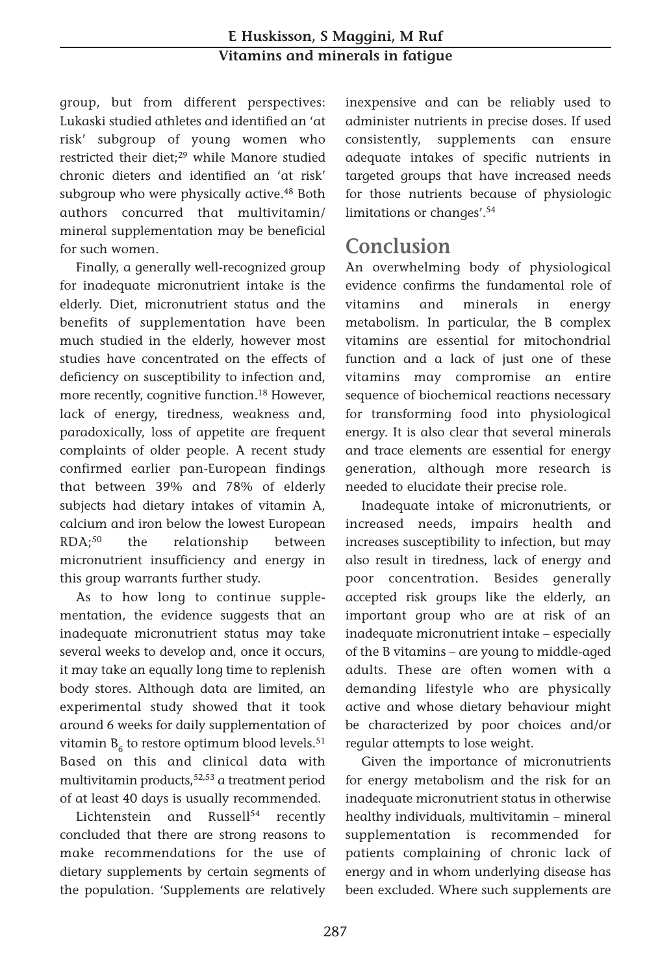#### **E Huskisson, S Maggini, M Ruf Vitamins and minerals in fatigue**

group, but from different perspectives: Lukaski studied athletes and identified an 'at risk' subgroup of young women who restricted their diet;<sup>29</sup> while Manore studied chronic dieters and identified an 'at risk' subgroup who were physically active.<sup>48</sup> Both authors concurred that multivitamin/ mineral supplementation may be beneficial for such women.

Finally, a generally well-recognized group for inadequate micronutrient intake is the elderly. Diet, micronutrient status and the benefits of supplementation have been much studied in the elderly, however most studies have concentrated on the effects of deficiency on susceptibility to infection and, more recently, cognitive function.<sup>18</sup> However, lack of energy, tiredness, weakness and, paradoxically, loss of appetite are frequent complaints of older people. A recent study confirmed earlier pan-European findings that between 39% and 78% of elderly subjects had dietary intakes of vitamin A, calcium and iron below the lowest European RDA;50 the relationship between micronutrient insufficiency and energy in this group warrants further study.

As to how long to continue supplementation, the evidence suggests that an inadequate micronutrient status may take several weeks to develop and, once it occurs, it may take an equally long time to replenish body stores. Although data are limited, an experimental study showed that it took around 6 weeks for daily supplementation of vitamin  $B_6$  to restore optimum blood levels.<sup>51</sup> Based on this and clinical data with multivitamin products,  $52,53$  a treatment period of at least 40 days is usually recommended.

Lichtenstein and Russell<sup>54</sup> recently concluded that there are strong reasons to make recommendations for the use of dietary supplements by certain segments of the population. 'Supplements are relatively inexpensive and can be reliably used to administer nutrients in precise doses. If used consistently, supplements can ensure adequate intakes of specific nutrients in targeted groups that have increased needs for those nutrients because of physiologic limitations or changes'.54

#### **Conclusion**

An overwhelming body of physiological evidence confirms the fundamental role of vitamins and minerals in energy metabolism. In particular, the B complex vitamins are essential for mitochondrial function and a lack of just one of these vitamins may compromise an entire sequence of biochemical reactions necessary for transforming food into physiological energy. It is also clear that several minerals and trace elements are essential for energy generation, although more research is needed to elucidate their precise role.

Inadequate intake of micronutrients, or increased needs, impairs health and increases susceptibility to infection, but may also result in tiredness, lack of energy and poor concentration. Besides generally accepted risk groups like the elderly, an important group who are at risk of an inadequate micronutrient intake – especially of the B vitamins – are young to middle-aged adults. These are often women with a demanding lifestyle who are physically active and whose dietary behaviour might be characterized by poor choices and/or regular attempts to lose weight.

Given the importance of micronutrients for energy metabolism and the risk for an inadequate micronutrient status in otherwise healthy individuals, multivitamin – mineral supplementation is recommended for patients complaining of chronic lack of energy and in whom underlying disease has been excluded. Where such supplements are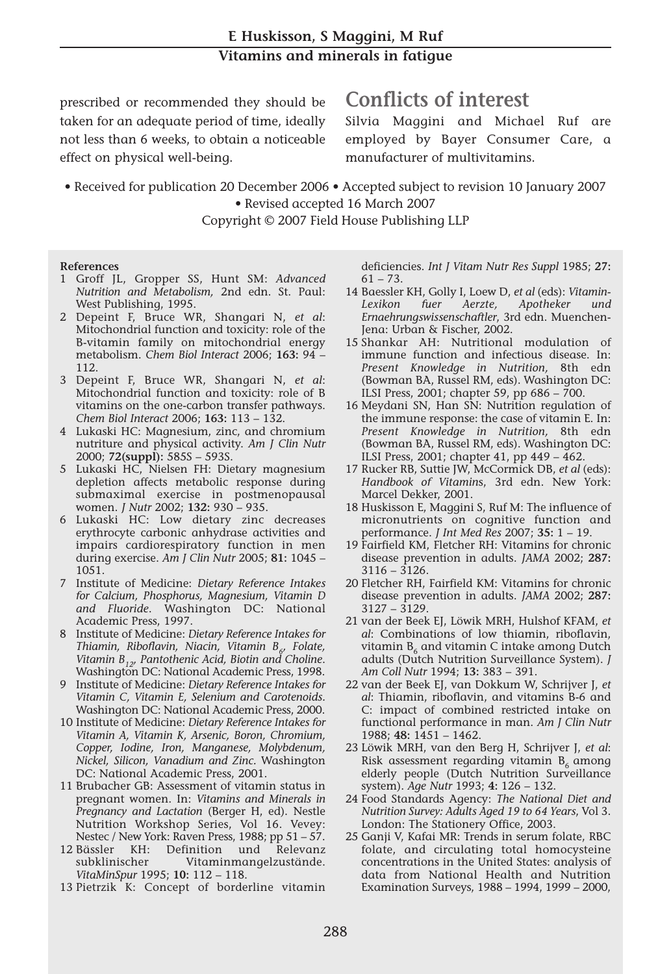prescribed or recommended they should be taken for an adequate period of time, ideally not less than 6 weeks, to obtain a noticeable effect on physical well-being.

## **Conflicts of interest**

Silvia Maggini and Michael Ruf are employed by Bayer Consumer Care, a manufacturer of multivitamins.

• Received for publication 20 December 2006 • Accepted subject to revision 10 January 2007 • Revised accepted 16 March 2007

Copyright © 2007 Field House Publishing LLP

#### **References**

- 1 Groff JL, Gropper SS, Hunt SM: *Advanced Nutrition and Metabolism,* 2nd edn. St. Paul: West Publishing, 1995.
- 2 Depeint F, Bruce WR, Shangari N, *et al*: Mitochondrial function and toxicity: role of the B-vitamin family on mitochondrial energy metabolism. *Chem Biol Interact* 2006; **163:** 94 – 112.
- 3 Depeint F, Bruce WR, Shangari N, *et al*: Mitochondrial function and toxicity: role of B vitamins on the one-carbon transfer pathways. *Chem Biol Interact* 2006; **163:** 113 – 132.
- 4 Lukaski HC: Magnesium, zinc, and chromium nutriture and physical activity. *Am J Clin Nutr* 2000; **72(suppl):** 585S – 593S.
- 5 Lukaski HC, Nielsen FH: Dietary magnesium depletion affects metabolic response during submaximal exercise in postmenopausal women. *J Nutr* 2002; **132:** 930 – 935.
- 6 Lukaski HC: Low dietary zinc decreases erythrocyte carbonic anhydrase activities and impairs cardiorespiratory function in men during exercise. *Am J Clin Nutr* 2005; **81:** 1045 – 1051.
- 7 Institute of Medicine: *Dietary Reference Intakes for Calcium, Phosphorus, Magnesium, Vitamin D and Fluoride*. Washington DC: National Academic Press, 1997.
- 8 Institute of Medicine: *Dietary Reference Intakes for Thiamin, Riboflavin, Niacin, Vitamin B<sub>c</sub>, Folate, Vitamin B12, Pantothenic Acid, Biotin and Choline*. Washington DC: National Academic Press, 1998.
- 9 Institute of Medicine: *Dietary Reference Intakes for Vitamin C, Vitamin E, Selenium and Carotenoids.* Washington DC: National Academic Press, 2000.
- 10 Institute of Medicine: *Dietary Reference Intakes for Vitamin A, Vitamin K, Arsenic, Boron, Chromium, Copper, Iodine, Iron, Manganese, Molybdenum, Nickel, Silicon, Vanadium and Zinc.* Washington DC: National Academic Press, 2001.
- 11 Brubacher GB: Assessment of vitamin status in pregnant women. In: *Vitamins and Minerals in Pregnancy and Lactation* (Berger H, ed). Nestle Nutrition Workshop Series, Vol 16. Vevey: Nestec / New York: Raven Press, 1988; pp 51 – 57.
- 12 Bässler KH: Definition und Relevanz subklinischer Vitaminmangelzustände. *VitaMinSpur* 1995; **10:** 112 – 118.
- 13 Pietrzik K: Concept of borderline vitamin

deficiencies. *Int J Vitam Nutr Res Suppl* 1985; **27:**  $61 - 73.$ 

- 14 Baessler KH, Golly I, Loew D, *et al* (eds): *Vitamin-Lexikon fuer Aerzte, Apotheker und Ernaehrungswissenschaftler*, 3rd edn. Muenchen-Jena: Urban & Fischer, 2002.
- 15 Shankar AH: Nutritional modulation of immune function and infectious disease. In: *Present Knowledge in Nutrition,* 8th edn (Bowman BA, Russel RM, eds). Washington DC: ILSI Press, 2001; chapter 59, pp 686 – 700.
- 16 Meydani SN, Han SN: Nutrition regulation of the immune response: the case of vitamin E. In: *Present Knowledge in Nutrition,* 8th edn (Bowman BA, Russel RM, eds). Washington DC: ILSI Press, 2001; chapter 41, pp 449 – 462.
- 17 Rucker RB, Suttie JW, McCormick DB, *et al* (eds): *Handbook of Vitamin*s, 3rd edn. New York: Marcel Dekker, 2001.
- 18 Huskisson E, Maggini S, Ruf M: The influence of micronutrients on cognitive function and performance. *J Int Med Res* 2007; **35:** 1 – 19.
- 19 Fairfield KM, Fletcher RH: Vitamins for chronic disease prevention in adults. *JAMA* 2002; **287:** 3116 – 3126.
- 20 Fletcher RH, Fairfield KM: Vitamins for chronic disease prevention in adults. *JAMA* 2002; **287:** 3127 – 3129.
- 21 van der Beek EJ, Löwik MRH, Hulshof KFAM, *et al*: Combinations of low thiamin, riboflavin, vitamin  $B_6$  and vitamin C intake among Dutch adults (Dutch Nutrition Surveillance System). *J Am Coll Nutr* 1994; **13:** 383 – 391.
- 22 van der Beek EJ, van Dokkum W, Schrijver J, *et al*: Thiamin, riboflavin, and vitamins B-6 and C: impact of combined restricted intake on functional performance in man. *Am J Clin Nutr* 1988; **48:** 1451 – 1462.
- 23 Löwik MRH, van den Berg H, Schrijver J, *et al*: Risk assessment regarding vitamin  $B_6$  among elderly people (Dutch Nutrition Surveillance system). *Age Nutr* 1993; **4:** 126 – 132.
- 24 Food Standards Agency: *The National Diet and Nutrition Survey: Adults Aged 19 to 64 Years*, Vol 3. London: The Stationery Office, 2003.
- 25 Ganji V, Kafai MR: Trends in serum folate, RBC folate, and circulating total homocysteine concentrations in the United States: analysis of data from National Health and Nutrition Examination Surveys, 1988 – 1994, 1999 – 2000,